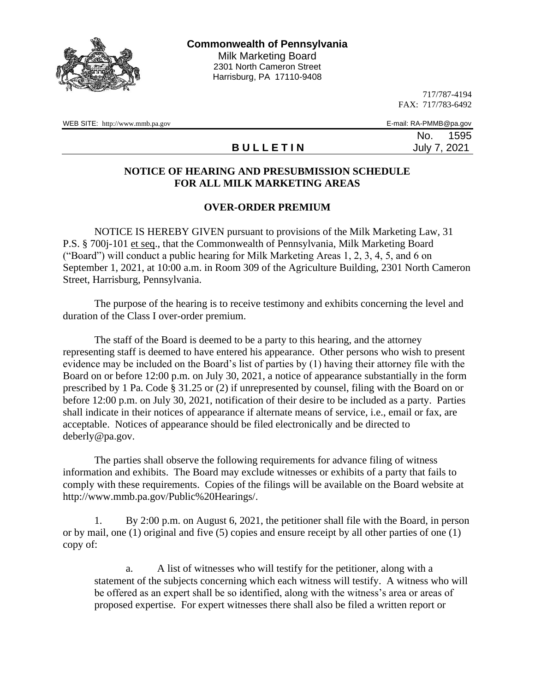

717/787-4194 FAX: 717/783-6492

No. 1595

WEB SITE: http://www.mmb.pa.gov E-mail: RA-PMMB@pa.gov

## **B U L L E T I N** July 7, 2021

## **NOTICE OF HEARING AND PRESUBMISSION SCHEDULE FOR ALL MILK MARKETING AREAS**

## **OVER-ORDER PREMIUM**

NOTICE IS HEREBY GIVEN pursuant to provisions of the Milk Marketing Law, 31 P.S. § 700j-101 et seq., that the Commonwealth of Pennsylvania, Milk Marketing Board ("Board") will conduct a public hearing for Milk Marketing Areas 1, 2, 3, 4, 5, and 6 on September 1, 2021, at 10:00 a.m. in Room 309 of the Agriculture Building, 2301 North Cameron Street, Harrisburg, Pennsylvania.

The purpose of the hearing is to receive testimony and exhibits concerning the level and duration of the Class I over-order premium.

The staff of the Board is deemed to be a party to this hearing, and the attorney representing staff is deemed to have entered his appearance. Other persons who wish to present evidence may be included on the Board's list of parties by (1) having their attorney file with the Board on or before 12:00 p.m. on July 30, 2021, a notice of appearance substantially in the form prescribed by 1 Pa. Code § 31.25 or (2) if unrepresented by counsel, filing with the Board on or before 12:00 p.m. on July 30, 2021, notification of their desire to be included as a party. Parties shall indicate in their notices of appearance if alternate means of service, i.e., email or fax, are acceptable. Notices of appearance should be filed electronically and be directed to deberly@pa.gov.

The parties shall observe the following requirements for advance filing of witness information and exhibits. The Board may exclude witnesses or exhibits of a party that fails to comply with these requirements. Copies of the filings will be available on the Board website at http://www.mmb.pa.gov/Public%20Hearings/.

1. By 2:00 p.m. on August 6, 2021, the petitioner shall file with the Board, in person or by mail, one (1) original and five (5) copies and ensure receipt by all other parties of one (1) copy of:

a. A list of witnesses who will testify for the petitioner, along with a statement of the subjects concerning which each witness will testify. A witness who will be offered as an expert shall be so identified, along with the witness's area or areas of proposed expertise. For expert witnesses there shall also be filed a written report or